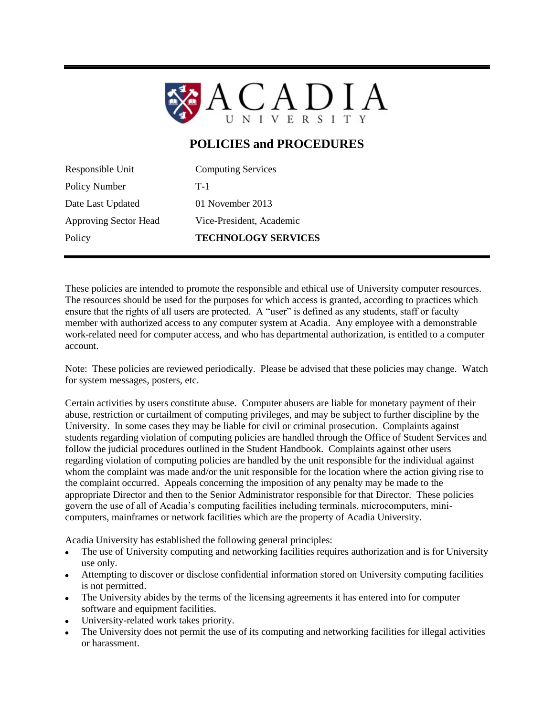

# **POLICIES and PROCEDURES**

Responsible Unit Computing Services Policy Number T-1 Date Last Updated 01 November 2013 Approving Sector Head Vice-President, Academic Policy **TECHNOLOGY SERVICES** 

These policies are intended to promote the responsible and ethical use of University computer resources. The resources should be used for the purposes for which access is granted, according to practices which ensure that the rights of all users are protected. A "user" is defined as any students, staff or faculty member with authorized access to any computer system at Acadia. Any employee with a demonstrable work-related need for computer access, and who has departmental authorization, is entitled to a computer account.

Note: These policies are reviewed periodically. Please be advised that these policies may change. Watch for system messages, posters, etc.

Certain activities by users constitute abuse. Computer abusers are liable for monetary payment of their abuse, restriction or curtailment of computing privileges, and may be subject to further discipline by the University. In some cases they may be liable for civil or criminal prosecution. Complaints against students regarding violation of computing policies are handled through the Office of Student Services and follow the judicial procedures outlined in the Student Handbook. Complaints against other users regarding violation of computing policies are handled by the unit responsible for the individual against whom the complaint was made and/or the unit responsible for the location where the action giving rise to the complaint occurred. Appeals concerning the imposition of any penalty may be made to the appropriate Director and then to the Senior Administrator responsible for that Director. These policies govern the use of all of Acadia's computing facilities including terminals, microcomputers, minicomputers, mainframes or network facilities which are the property of Acadia University.

Acadia University has established the following general principles:

- The use of University computing and networking facilities requires authorization and is for University use only.
- Attempting to discover or disclose confidential information stored on University computing facilities is not permitted.
- The University abides by the terms of the licensing agreements it has entered into for computer software and equipment facilities.
- University-related work takes priority.
- The University does not permit the use of its computing and networking facilities for illegal activities or harassment.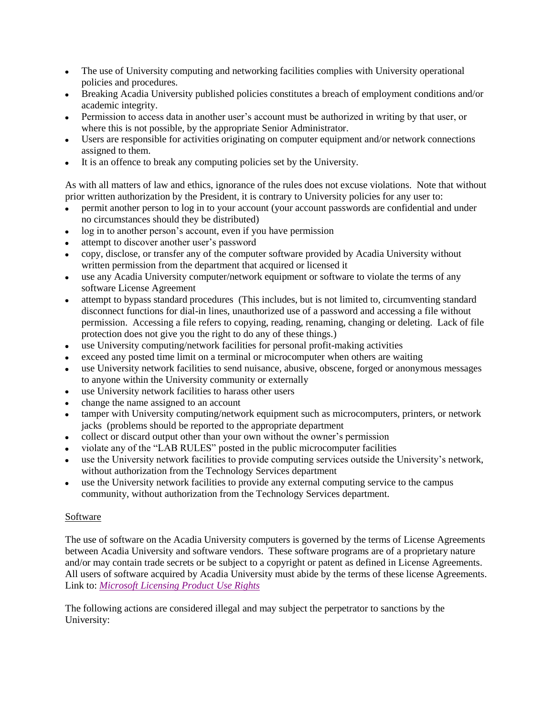- The use of University computing and networking facilities complies with University operational  $\bullet$ policies and procedures.
- Breaking Acadia University published policies constitutes a breach of employment conditions and/or academic integrity.
- Permission to access data in another user's account must be authorized in writing by that user, or where this is not possible, by the appropriate Senior Administrator.
- Users are responsible for activities originating on computer equipment and/or network connections assigned to them.
- It is an offence to break any computing policies set by the University.  $\bullet$

As with all matters of law and ethics, ignorance of the rules does not excuse violations. Note that without prior written authorization by the President, it is contrary to University policies for any user to:

- permit another person to log in to your account (your account passwords are confidential and under no circumstances should they be distributed)
- log in to another person's account, even if you have permission
- attempt to discover another user's password
- copy, disclose, or transfer any of the computer software provided by Acadia University without written permission from the department that acquired or licensed it
- use any Acadia University computer/network equipment or software to violate the terms of any  $\bullet$ software License Agreement
- attempt to bypass standard procedures (This includes, but is not limited to, circumventing standard disconnect functions for dial-in lines, unauthorized use of a password and accessing a file without permission. Accessing a file refers to copying, reading, renaming, changing or deleting. Lack of file protection does not give you the right to do any of these things.)
- use University computing/network facilities for personal profit-making activities
- exceed any posted time limit on a terminal or microcomputer when others are waiting
- use University network facilities to send nuisance, abusive, obscene, forged or anonymous messages to anyone within the University community or externally
- use University network facilities to harass other users
- change the name assigned to an account
- tamper with University computing/network equipment such as microcomputers, printers, or network jacks (problems should be reported to the appropriate department
- collect or discard output other than your own without the owner's permission
- violate any of the "LAB RULES" posted in the public microcomputer facilities
- use the University network facilities to provide computing services outside the University's network, without authorization from the Technology Services department
- use the University network facilities to provide any external computing service to the campus community, without authorization from the Technology Services department.

## **Software**

The use of software on the Acadia University computers is governed by the terms of License Agreements between Acadia University and software vendors. These software programs are of a proprietary nature and/or may contain trade secrets or be subject to a copyright or patent as defined in License Agreements. All users of software acquired by Acadia University must abide by the terms of these license Agreements. Link to: *[Microsoft Licensing Product](http://ts.acadiau.ca/tl_files/sites/ts/resources_1/forms/MicrosoftProductUseRights.pdf) Use Rights*

The following actions are considered illegal and may subject the perpetrator to sanctions by the University: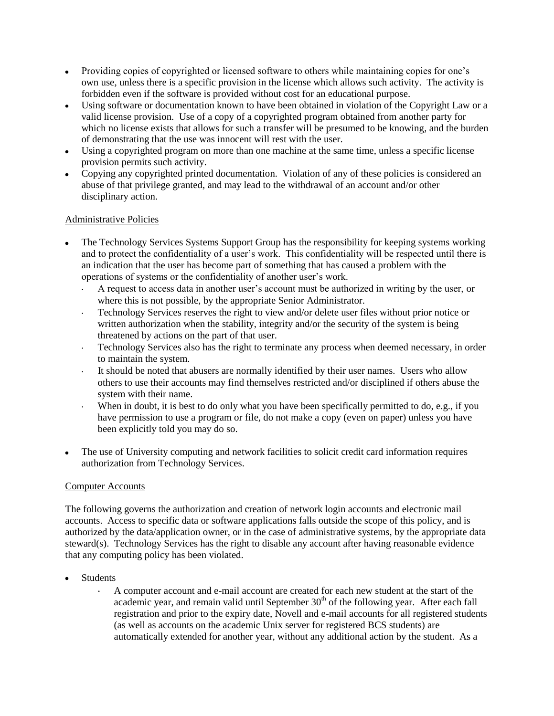- Providing copies of copyrighted or licensed software to others while maintaining copies for one's  $\bullet$  . own use, unless there is a specific provision in the license which allows such activity. The activity is forbidden even if the software is provided without cost for an educational purpose.
- Using software or documentation known to have been obtained in violation of the Copyright Law or a valid license provision. Use of a copy of a copyrighted program obtained from another party for which no license exists that allows for such a transfer will be presumed to be knowing, and the burden of demonstrating that the use was innocent will rest with the user.
- Using a copyrighted program on more than one machine at the same time, unless a specific license  $\bullet$ provision permits such activity.
- Copying any copyrighted printed documentation. Violation of any of these policies is considered an abuse of that privilege granted, and may lead to the withdrawal of an account and/or other disciplinary action.

## Administrative Policies

- The Technology Services Systems Support Group has the responsibility for keeping systems working and to protect the confidentiality of a user's work. This confidentiality will be respected until there is an indication that the user has become part of something that has caused a problem with the operations of systems or the confidentiality of another user's work.
	- A request to access data in another user's account must be authorized in writing by the user, or  $\ddot{\phantom{a}}$ where this is not possible, by the appropriate Senior Administrator.
	- Technology Services reserves the right to view and/or delete user files without prior notice or  $\mathbb{Z}^{\mathbb{Z}}$ written authorization when the stability, integrity and/or the security of the system is being threatened by actions on the part of that user.
	- Technology Services also has the right to terminate any process when deemed necessary, in order  $\epsilon$ to maintain the system.
	- It should be noted that abusers are normally identified by their user names. Users who allow  $\mathbb{Z}^{\mathbb{Z}}$ others to use their accounts may find themselves restricted and/or disciplined if others abuse the system with their name.
	- When in doubt, it is best to do only what you have been specifically permitted to do, e.g., if you have permission to use a program or file, do not make a copy (even on paper) unless you have been explicitly told you may do so.
- The use of University computing and network facilities to solicit credit card information requires  $\bullet$ authorization from Technology Services.

### Computer Accounts

The following governs the authorization and creation of network login accounts and electronic mail accounts. Access to specific data or software applications falls outside the scope of this policy, and is authorized by the data/application owner, or in the case of administrative systems, by the appropriate data steward(s). Technology Services has the right to disable any account after having reasonable evidence that any computing policy has been violated.

- Students
	- A computer account and e-mail account are created for each new student at the start of the academic year, and remain valid until September  $30<sup>th</sup>$  of the following year. After each fall registration and prior to the expiry date, Novell and e-mail accounts for all registered students (as well as accounts on the academic Unix server for registered BCS students) are automatically extended for another year, without any additional action by the student. As a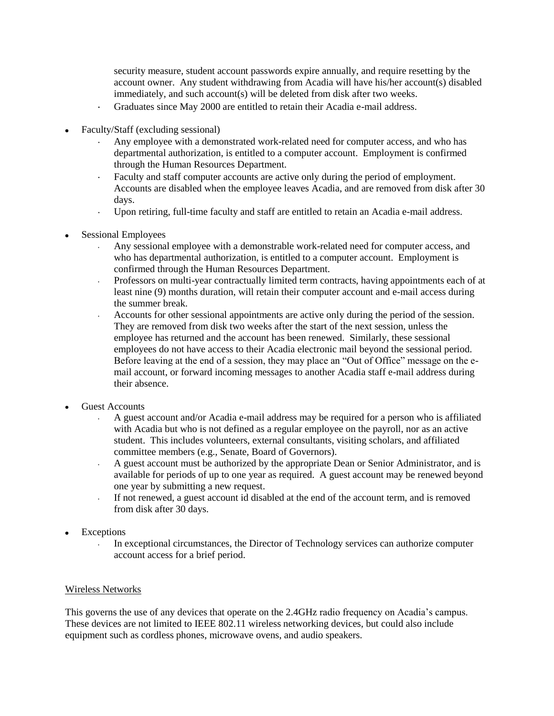security measure, student account passwords expire annually, and require resetting by the account owner. Any student withdrawing from Acadia will have his/her account(s) disabled immediately, and such account(s) will be deleted from disk after two weeks.

- Graduates since May 2000 are entitled to retain their Acadia e-mail address.  $\ddot{\phantom{0}}$
- Faculty/Staff (excluding sessional)  $\bullet$ 
	- Any employee with a demonstrated work-related need for computer access, and who has departmental authorization, is entitled to a computer account. Employment is confirmed through the Human Resources Department.
	- Faculty and staff computer accounts are active only during the period of employment. Accounts are disabled when the employee leaves Acadia, and are removed from disk after 30 days.
	- Upon retiring, full-time faculty and staff are entitled to retain an Acadia e-mail address.  $\ddot{\phantom{0}}$
- Sessional Employees  $\bullet$ 
	- Any sessional employee with a demonstrable work-related need for computer access, and who has departmental authorization, is entitled to a computer account. Employment is confirmed through the Human Resources Department.
	- Professors on multi-year contractually limited term contracts, having appointments each of at  $\ddot{\phantom{0}}$ least nine (9) months duration, will retain their computer account and e-mail access during the summer break.
	- Accounts for other sessional appointments are active only during the period of the session. They are removed from disk two weeks after the start of the next session, unless the employee has returned and the account has been renewed. Similarly, these sessional employees do not have access to their Acadia electronic mail beyond the sessional period. Before leaving at the end of a session, they may place an "Out of Office" message on the email account, or forward incoming messages to another Acadia staff e-mail address during their absence.
- Guest Accounts
	- A guest account and/or Acadia e-mail address may be required for a person who is affiliated with Acadia but who is not defined as a regular employee on the payroll, nor as an active student. This includes volunteers, external consultants, visiting scholars, and affiliated committee members (e.g., Senate, Board of Governors).
	- A guest account must be authorized by the appropriate Dean or Senior Administrator, and is  $\ddot{\phantom{0}}$ available for periods of up to one year as required. A guest account may be renewed beyond one year by submitting a new request.
	- If not renewed, a guest account id disabled at the end of the account term, and is removed  $\ddot{\phantom{0}}$ from disk after 30 days.
- Exceptions
	- In exceptional circumstances, the Director of Technology services can authorize computer account access for a brief period.

### Wireless Networks

This governs the use of any devices that operate on the 2.4GHz radio frequency on Acadia's campus. These devices are not limited to IEEE 802.11 wireless networking devices, but could also include equipment such as cordless phones, microwave ovens, and audio speakers.